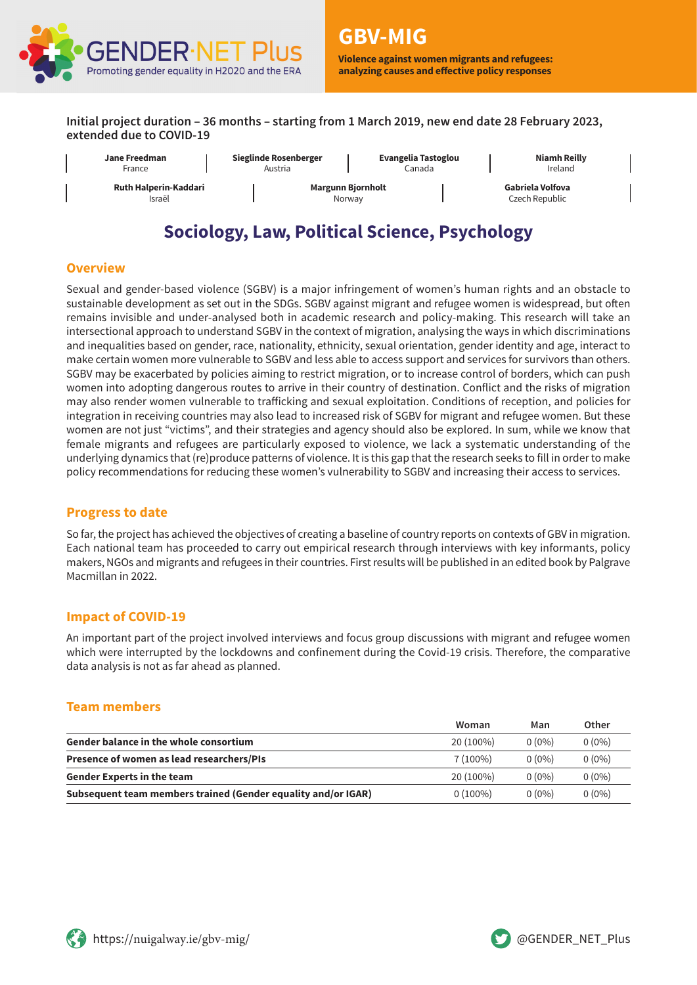

**Violence against women migrants and refugees: analyzing causes and effective policy responses**

**Initial project duration – 36 months – starting from 1 March 2019, new end date 28 February 2023, extended due to COVID-19**



# **Sociology, Law, Political Science, Psychology**

#### **Overview**

Sexual and gender-based violence (SGBV) is a major infringement of women's human rights and an obstacle to sustainable development as set out in the SDGs. SGBV against migrant and refugee women is widespread, but often remains invisible and under-analysed both in academic research and policy-making. This research will take an intersectional approach to understand SGBV in the context of migration, analysing the ways in which discriminations and inequalities based on gender, race, nationality, ethnicity, sexual orientation, gender identity and age, interact to make certain women more vulnerable to SGBV and less able to access support and services for survivors than others. SGBV may be exacerbated by policies aiming to restrict migration, or to increase control of borders, which can push women into adopting dangerous routes to arrive in their country of destination. Conflict and the risks of migration may also render women vulnerable to trafficking and sexual exploitation. Conditions of reception, and policies for integration in receiving countries may also lead to increased risk of SGBV for migrant and refugee women. But these women are not just "victims", and their strategies and agency should also be explored. In sum, while we know that female migrants and refugees are particularly exposed to violence, we lack a systematic understanding of the underlying dynamics that (re)produce patterns of violence. It is this gap that the research seeks to fill in order to make policy recommendations for reducing these women's vulnerability to SGBV and increasing their access to services.

#### **Progress to date**

So far, the project has achieved the objectives of creating a baseline of country reports on contexts of GBV in migration. Each national team has proceeded to carry out empirical research through interviews with key informants, policy makers, NGOs and migrants and refugees in their countries. First results will be published in an edited book by Palgrave Macmillan in 2022.

#### **Impact of COVID-19**

An important part of the project involved interviews and focus group discussions with migrant and refugee women which were interrupted by the lockdowns and confinement during the Covid-19 crisis. Therefore, the comparative data analysis is not as far ahead as planned.

#### **Team members**

|                                                               | Woman      | Man      | Other    |
|---------------------------------------------------------------|------------|----------|----------|
| <b>Gender balance in the whole consortium</b>                 | 20 (100%)  | $0(0\%)$ | $0(0\%)$ |
| Presence of women as lead researchers/PIs                     | $7(100\%)$ | $0(0\%)$ | $0(0\%)$ |
| <b>Gender Experts in the team</b>                             | 20 (100%)  | $0(0\%)$ | $0(0\%)$ |
| Subsequent team members trained (Gender equality and/or IGAR) | $0(100\%)$ | $0(0\%)$ | $0(0\%)$ |